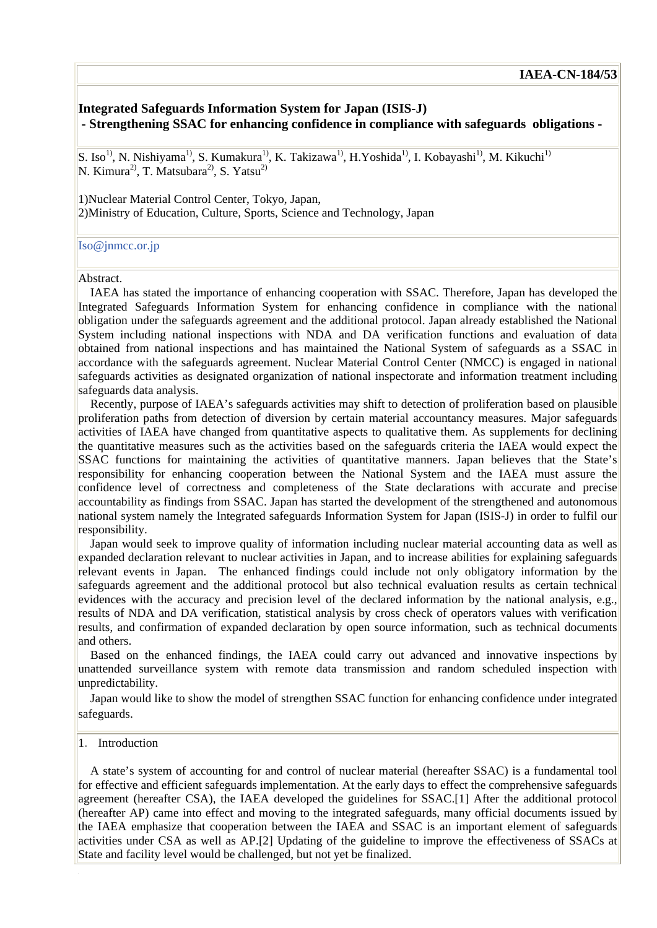# **Integrated Safeguards Information System for Japan (ISIS-J) - Strengthening SSAC for enhancing confidence in compliance with safeguards obligations -**

S. Iso<sup>1)</sup>, N. Nishiyama<sup>1)</sup>, S. Kumakura<sup>1)</sup>, K. Takizawa<sup>1)</sup>, H. Yoshida<sup>1)</sup>, I. Kobayashi<sup>1)</sup>, M. Kikuchi<sup>1)</sup> N. Kimura<sup>2)</sup>, T. Matsubara<sup>2)</sup>, S. Yatsu<sup>2)</sup>

1)Nuclear Material Control Center, Tokyo, Japan, 2)Ministry of Education, Culture, Sports, Science and Technology, Japan

#### [Iso@jnmcc.or.jp](mailto:Iso@jnmcc.or.jp)

#### Abstract.

IAEA has stated the importance of enhancing cooperation with SSAC. Therefore, Japan has developed the Integrated Safeguards Information System for enhancing confidence in compliance with the national obligation under the safeguards agreement and the additional protocol. Japan already established the National System including national inspections with NDA and DA verification functions and evaluation of data obtained from national inspections and has maintained the National System of safeguards as a SSAC in accordance with the safeguards agreement. Nuclear Material Control Center (NMCC) is engaged in national safeguards activities as designated organization of national inspectorate and information treatment including safeguards data analysis.

Recently, purpose of IAEA's safeguards activities may shift to detection of proliferation based on plausible proliferation paths from detection of diversion by certain material accountancy measures. Major safeguards activities of IAEA have changed from quantitative aspects to qualitative them. As supplements for declining the quantitative measures such as the activities based on the safeguards criteria the IAEA would expect the SSAC functions for maintaining the activities of quantitative manners. Japan believes that the State's responsibility for enhancing cooperation between the National System and the IAEA must assure the confidence level of correctness and completeness of the State declarations with accurate and precise accountability as findings from SSAC. Japan has started the development of the strengthened and autonomous national system namely the Integrated safeguards Information System for Japan (ISIS-J) in order to fulfil our responsibility.

Japan would seek to improve quality of information including nuclear material accounting data as well as expanded declaration relevant to nuclear activities in Japan, and to increase abilities for explaining safeguards relevant events in Japan. The enhanced findings could include not only obligatory information by the safeguards agreement and the additional protocol but also technical evaluation results as certain technical evidences with the accuracy and precision level of the declared information by the national analysis, e.g., results of NDA and DA verification, statistical analysis by cross check of operators values with verification results, and confirmation of expanded declaration by open source information, such as technical documents and others.

Based on the enhanced findings, the IAEA could carry out advanced and innovative inspections by unattended surveillance system with remote data transmission and random scheduled inspection with unpredictability.

Japan would like to show the model of strengthen SSAC function for enhancing confidence under integrated safeguards.

### 1. Introduction

A state's system of accounting for and control of nuclear material (hereafter SSAC) is a fundamental tool for effective and efficient safeguards implementation. At the early days to effect the comprehensive safeguards agreement (hereafter CSA), the IAEA developed the guidelines for SSAC.[1] After the additional protocol (hereafter AP) came into effect and moving to the integrated safeguards, many official documents issued by the IAEA emphasize that cooperation between the IAEA and SSAC is an important element of safeguards activities under CSA as well as AP.[2] Updating of the guideline to improve the effectiveness of SSACs at State and facility level would be challenged, but not yet be finalized.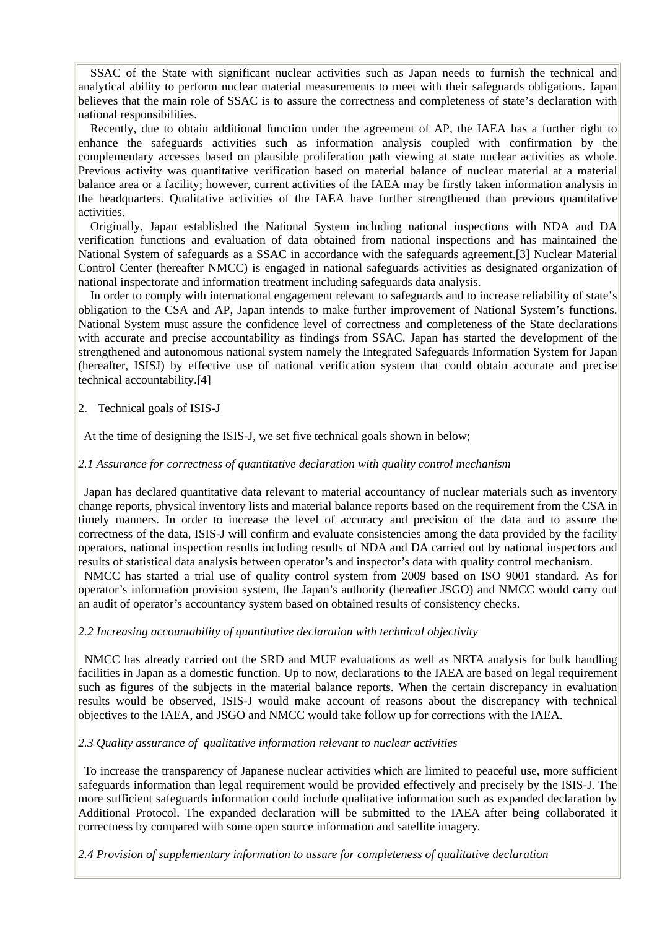SSAC of the State with significant nuclear activities such as Japan needs to furnish the technical and analytical ability to perform nuclear material measurements to meet with their safeguards obligations. Japan believes that the main role of SSAC is to assure the correctness and completeness of state's declaration with national responsibilities.

Recently, due to obtain additional function under the agreement of AP, the IAEA has a further right to enhance the safeguards activities such as information analysis coupled with confirmation by the complementary accesses based on plausible proliferation path viewing at state nuclear activities as whole. Previous activity was quantitative verification based on material balance of nuclear material at a material balance area or a facility; however, current activities of the IAEA may be firstly taken information analysis in the headquarters. Qualitative activities of the IAEA have further strengthened than previous quantitative activities.

Originally, Japan established the National System including national inspections with NDA and DA verification functions and evaluation of data obtained from national inspections and has maintained the National System of safeguards as a SSAC in accordance with the safeguards agreement.[3] Nuclear Material Control Center (hereafter NMCC) is engaged in national safeguards activities as designated organization of national inspectorate and information treatment including safeguards data analysis.

In order to comply with international engagement relevant to safeguards and to increase reliability of state's obligation to the CSA and AP, Japan intends to make further improvement of National System's functions. National System must assure the confidence level of correctness and completeness of the State declarations with accurate and precise accountability as findings from SSAC. Japan has started the development of the strengthened and autonomous national system namely the Integrated Safeguards Information System for Japan (hereafter, ISISJ) by effective use of national verification system that could obtain accurate and precise technical accountability.[4]

### 2.Technical goals of ISIS-J

At the time of designing the ISIS-J, we set five technical goals shown in below;

### *2.1 Assurance for correctness of quantitative declaration with quality control mechanism*

 Japan has declared quantitative data relevant to material accountancy of nuclear materials such as inventory change reports, physical inventory lists and material balance reports based on the requirement from the CSA in timely manners. In order to increase the level of accuracy and precision of the data and to assure the correctness of the data, ISIS-J will confirm and evaluate consistencies among the data provided by the facility operators, national inspection results including results of NDA and DA carried out by national inspectors and results of statistical data analysis between operator's and inspector's data with quality control mechanism. NMCC has started a trial use of quality control system from 2009 based on ISO 9001 standard. As for

operator's information provision system, the Japan's authority (hereafter JSGO) and NMCC would carry out an audit of operator's accountancy system based on obtained results of consistency checks.

### *2.2 Increasing accountability of quantitative declaration with technical objectivity*

 NMCC has already carried out the SRD and MUF evaluations as well as NRTA analysis for bulk handling facilities in Japan as a domestic function. Up to now, declarations to the IAEA are based on legal requirement such as figures of the subjects in the material balance reports. When the certain discrepancy in evaluation results would be observed, ISIS-J would make account of reasons about the discrepancy with technical objectives to the IAEA, and JSGO and NMCC would take follow up for corrections with the IAEA.

### *2.3 Quality assurance of qualitative information relevant to nuclear activities*

 To increase the transparency of Japanese nuclear activities which are limited to peaceful use, more sufficient safeguards information than legal requirement would be provided effectively and precisely by the ISIS-J. The more sufficient safeguards information could include qualitative information such as expanded declaration by Additional Protocol. The expanded declaration will be submitted to the IAEA after being collaborated it correctness by compared with some open source information and satellite imagery.

*2.4 Provision of supplementary information to assure for completeness of qualitative declaration*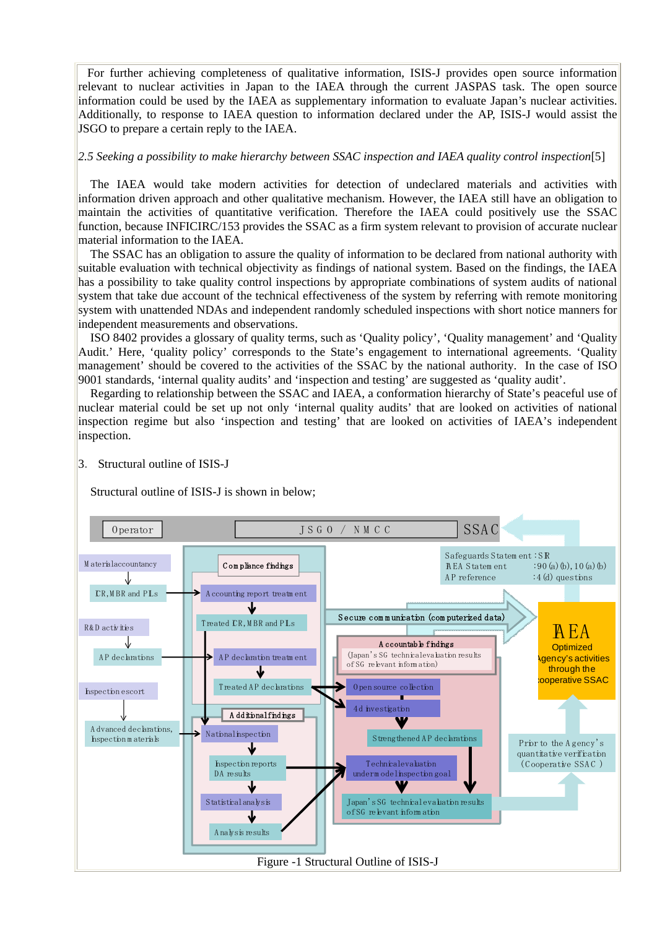For further achieving completeness of qualitative information, ISIS-J provides open source information relevant to nuclear activities in Japan to the IAEA through the current JASPAS task. The open source information could be used by the IAEA as supplementary information to evaluate Japan's nuclear activities. Additionally, to response to IAEA question to information declared under the AP, ISIS-J would assist the JSGO to prepare a certain reply to the IAEA.

### *2.5 Seeking a possibility to make hierarchy between SSAC inspection and IAEA quality control inspection*[5]

The IAEA would take modern activities for detection of undeclared materials and activities with information driven approach and other qualitative mechanism. However, the IAEA still have an obligation to maintain the activities of quantitative verification. Therefore the IAEA could positively use the SSAC function, because INFICIRC/153 provides the SSAC as a firm system relevant to provision of accurate nuclear material information to the IAEA.

The SSAC has an obligation to assure the quality of information to be declared from national authority with suitable evaluation with technical objectivity as findings of national system. Based on the findings, the IAEA has a possibility to take quality control inspections by appropriate combinations of system audits of national system that take due account of the technical effectiveness of the system by referring with remote monitoring system with unattended NDAs and independent randomly scheduled inspections with short notice manners for independent measurements and observations.

ISO 8402 provides a glossary of quality terms, such as 'Quality policy', 'Quality management' and 'Quality Audit.' Here, 'quality policy' corresponds to the State's engagement to international agreements. 'Quality management' should be covered to the activities of the SSAC by the national authority. In the case of ISO 9001 standards, 'internal quality audits' and 'inspection and testing' are suggested as 'quality audit'.

Regarding to relationship between the SSAC and IAEA, a conformation hierarchy of State's peaceful use of nuclear material could be set up not only 'internal quality audits' that are looked on activities of national inspection regime but also 'inspection and testing' that are looked on activities of IAEA's independent inspection.

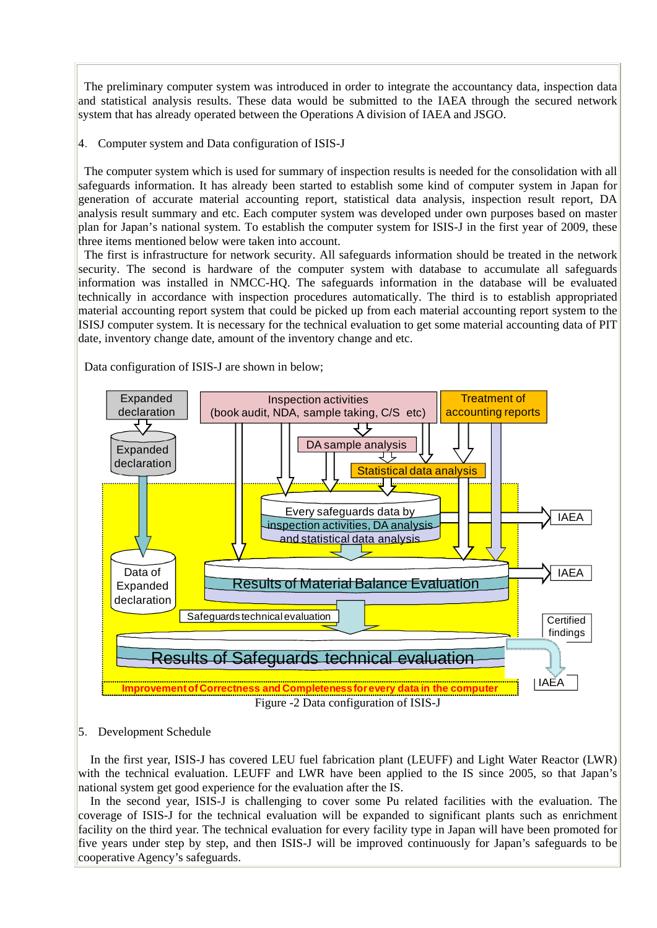The preliminary computer system was introduced in order to integrate the accountancy data, inspection data and statistical analysis results. These data would be submitted to the IAEA through the secured network system that has already operated between the Operations A division of IAEA and JSGO.

4.Computer system and Data configuration of ISIS-J

 The computer system which is used for summary of inspection results is needed for the consolidation with all safeguards information. It has already been started to establish some kind of computer system in Japan for generation of accurate material accounting report, statistical data analysis, inspection result report, DA analysis result summary and etc. Each computer system was developed under own purposes based on master plan for Japan's national system. To establish the computer system for ISIS-J in the first year of 2009, these three items mentioned below were taken into account.

 The first is infrastructure for network security. All safeguards information should be treated in the network security. The second is hardware of the computer system with database to accumulate all safeguards information was installed in NMCC-HQ. The safeguards information in the database will be evaluated technically in accordance with inspection procedures automatically. The third is to establish appropriated material accounting report system that could be picked up from each material accounting report system to the ISISJ computer system. It is necessary for the technical evaluation to get some material accounting data of PIT date, inventory change date, amount of the inventory change and etc.

Data configuration of ISIS-J are shown in below;



Figure -2 Data configuration of ISIS-J

# 5.Development Schedule

In the first year, ISIS-J has covered LEU fuel fabrication plant (LEUFF) and Light Water Reactor (LWR) with the technical evaluation. LEUFF and LWR have been applied to the IS since 2005, so that Japan's national system get good experience for the evaluation after the IS.

In the second year, ISIS-J is challenging to cover some Pu related facilities with the evaluation. The coverage of ISIS-J for the technical evaluation will be expanded to significant plants such as enrichment facility on the third year. The technical evaluation for every facility type in Japan will have been promoted for five years under step by step, and then ISIS-J will be improved continuously for Japan's safeguards to be cooperative Agency's safeguards.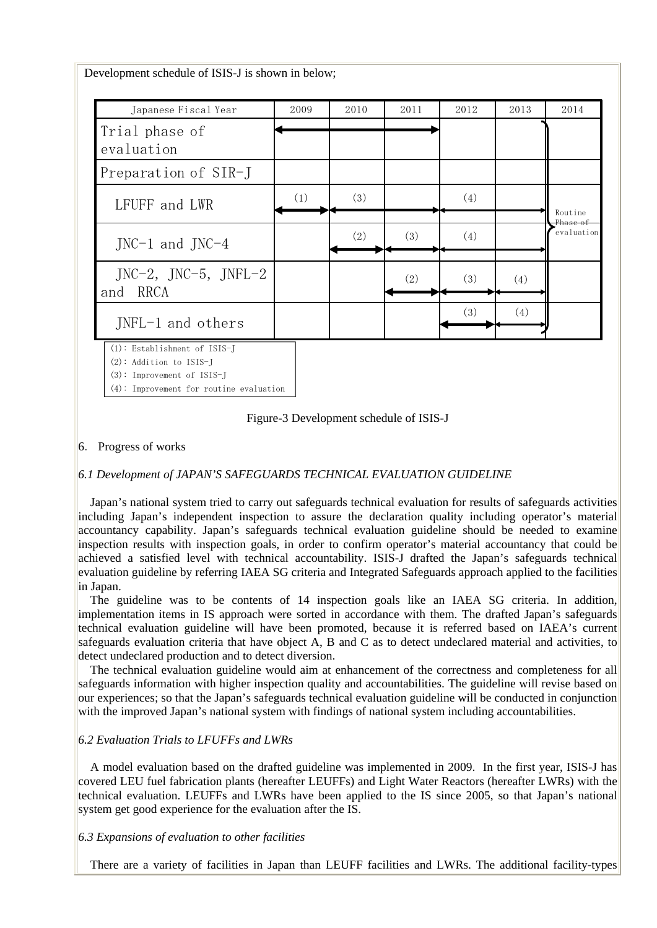| Japanese Fiscal Year                        | 2009 | 2010 | 2011 | 2012 | 2013 | 2014                                         |
|---------------------------------------------|------|------|------|------|------|----------------------------------------------|
| Trial phase of<br>evaluation                |      |      |      |      |      |                                              |
| Preparation of SIR-J                        |      |      |      |      |      |                                              |
| LFUFF and LWR                               | (1)  | (3)  |      | (4)  |      | Routine<br><del>Phase of</del><br>evaluation |
| $JNC-1$ and $JNC-4$                         |      | (2)  | (3)  | (4)  |      |                                              |
| $JNC-2$ , $JNC-5$ , $JNFL-2$<br>RRCA<br>and |      |      | (2)  | (3)  | (4)  |                                              |
| JNFL-1 and others                           |      |      |      | (3)  | (4)  |                                              |

(2): Addition to ISIS-J

(3): Improvement of ISIS-J

(4): Improvement for routine evaluation

Figure-3 Development schedule of ISIS-J

### 6.Progress of works

# *6.1 Development of JAPAN'S SAFEGUARDS TECHNICAL EVALUATION GUIDELINE*

Japan's national system tried to carry out safeguards technical evaluation for results of safeguards activities including Japan's independent inspection to assure the declaration quality including operator's material accountancy capability. Japan's safeguards technical evaluation guideline should be needed to examine inspection results with inspection goals, in order to confirm operator's material accountancy that could be achieved a satisfied level with technical accountability. ISIS-J drafted the Japan's safeguards technical evaluation guideline by referring IAEA SG criteria and Integrated Safeguards approach applied to the facilities in Japan.

The guideline was to be contents of 14 inspection goals like an IAEA SG criteria. In addition, implementation items in IS approach were sorted in accordance with them. The drafted Japan's safeguards technical evaluation guideline will have been promoted, because it is referred based on IAEA's current safeguards evaluation criteria that have object A, B and C as to detect undeclared material and activities, to detect undeclared production and to detect diversion.

The technical evaluation guideline would aim at enhancement of the correctness and completeness for all safeguards information with higher inspection quality and accountabilities. The guideline will revise based on our experiences; so that the Japan's safeguards technical evaluation guideline will be conducted in conjunction with the improved Japan's national system with findings of national system including accountabilities.

### *6.2 Evaluation Trials to LFUFFs and LWRs*

A model evaluation based on the drafted guideline was implemented in 2009. In the first year, ISIS-J has covered LEU fuel fabrication plants (hereafter LEUFFs) and Light Water Reactors (hereafter LWRs) with the technical evaluation. LEUFFs and LWRs have been applied to the IS since 2005, so that Japan's national system get good experience for the evaluation after the IS.

# *6.3 Expansions of evaluation to other facilities*

There are a variety of facilities in Japan than LEUFF facilities and LWRs. The additional facility-types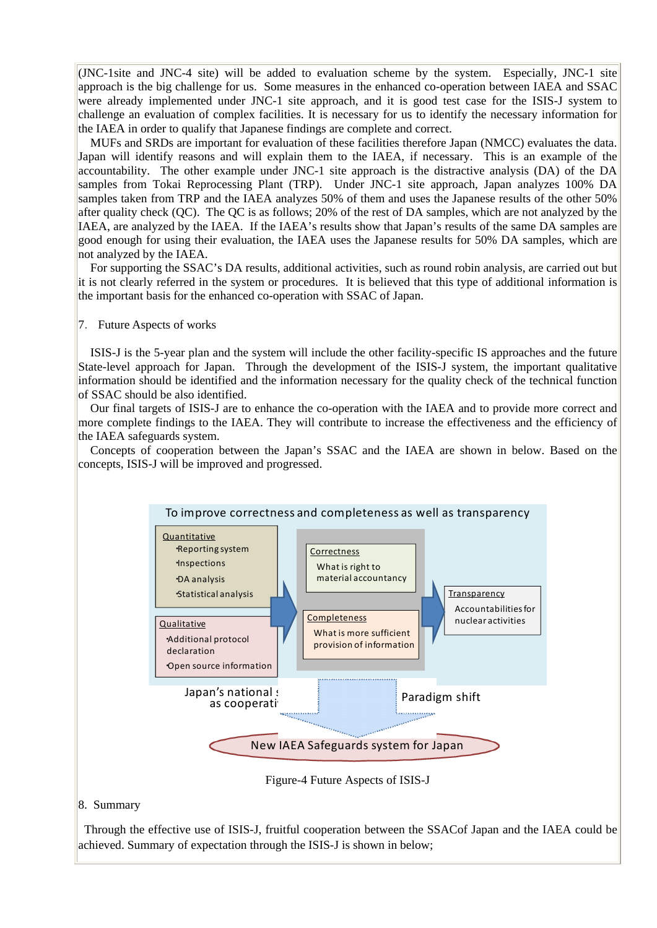$\rm (JNC\text{-}1site$  and JNC-4 site) will be added to evaluation scheme by the system. Especially, JNC-1 site approach is the big challenge for us. Some measures in the enhanced co-operation between IAEA and SSAC were already implemented under JNC-1 site approach, and it is good test case for the ISIS-J system to challenge an evaluation of complex facilities. It is necessary for us to identify the necessary information for the IAEA in order to qualify that Japanese findings are complete and correct.

MUFs and SRDs are important for evaluation of these facilities therefore Japan (NMCC) evaluates the data. Japan will identify reasons and will explain them to the IAEA, if necessary. This is an example of the accountability. The other example under JNC-1 site approach is the distractive analysis (DA) of the DA samples from Tokai Reprocessing Plant (TRP). Under JNC-1 site approach, Japan analyzes 100% DA samples taken from TRP and the IAEA analyzes 50% of them and uses the Japanese results of the other 50% after quality check (QC). The QC is as follows; 20% of the rest of DA samples, which are not analyzed by the IAEA, are analyzed by the IAEA. If the IAEA's results show that Japan's results of the same DA samples are good enough for using their evaluation, the IAEA uses the Japanese results for 50% DA samples, which are not analyzed by the IAEA.

For supporting the SSAC's DA results, additional activities, such as round robin analysis, are carried out but it is not clearly referred in the system or procedures. It is believed that this type of additional information is the important basis for the enhanced co-operation with SSAC of Japan.

#### 7.Future Aspects of works

ISIS-J is the 5-year plan and the system will include the other facility-specific IS approaches and the future State-level approach for Japan. Through the development of the ISIS-J system, the important qualitative information should be identified and the information necessary for the quality check of the technical function of SSAC should be also identified.

Our final targets of ISIS-J are to enhance the co-operation with the IAEA and to provide more correct and more complete findings to the IAEA. They will contribute to increase the effectiveness and the efficiency of the IAEA safeguards system.

Concepts of cooperation between the Japan's SSAC and the IAEA are shown in below. Based on the concepts, ISIS-J will be improved and progressed.



Figure-4 Future Aspects of ISIS-J

### 8. Summary

 Through the effective use of ISIS-J, fruitful cooperation between the SSACof Japan and the IAEA could be achieved. Summary of expectation through the ISIS-J is shown in below;